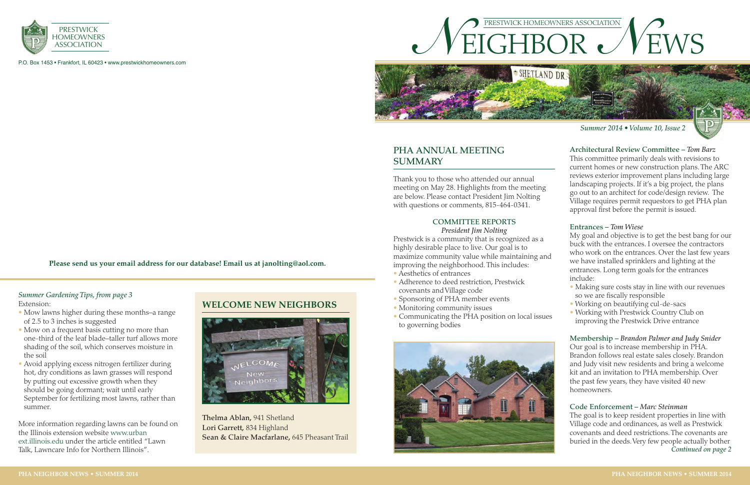



Thank you to those who attended our annual meeting on May 28. Highlights from the meeting are below. Please contact President Jim Nolting with questions or comments, 815-464-0341.

#### **COMMITTEE REPORTS**

*President Jim Nolting* Prestwick is a community that is recognized as a highly desirable place to live. Our goal is to maximize community value while maintaining and improving the neighborhood. This includes:

- Aesthetics of entrances
- Adherence to deed restriction, Prestwick covenants and Village code
- Sponsoring of PHA member events
- Monitoring community issues
- Communicating the PHA position on local issues to governing bodies



# **PHA ANNUAL MEETING SUMMARY**

## **Architectural Review Committee –** *Tom Barz*

This committee primarily deals with revisions to current homes or new construction plans. The ARC reviews exterior improvement plans including large landscaping projects. If it's a big project, the plans go out to an architect for code/design review. The Village requires permit requestors to get PHA plan approval first before the permit is issued.

#### **Entrances –** *Tom Wiese*

My goal and objective is to get the best bang for our buck with the entrances. I oversee the contractors who work on the entrances. Over the last few years we have installed sprinklers and lighting at the entrances. Long term goals for the entrances include:

- Making sure costs stay in line with our revenues so we are fiscally responsible
- Working on beautifying cul-de-sacs
- Working with Prestwick Country Club on improving the Prestwick Drive entrance

#### **Membership –** *Brandon Palmer and Judy Snider*

Our goal is to increase membership in PHA. Brandon follows real estate sales closely. Brandon and Judy visit new residents and bring a welcome kit and an invitation to PHA membership. Over the past few years, they have visited 40 new homeowners.

#### **Code Enforcement –** *Marc Steinman*

The goal is to keep resident properties in line with Village code and ordinances, as well as Prestwick covenants and deed restrictions. The covenants are buried in the deeds. Very few people actually bother *Continued on page 2*



*Summer 2014 • Volume 10, Issue 2*

P.O. Box 1453 • Frankfort, IL 60423 • www.prestwickhomeowners.com

**Please send us your email address for our database! Email us at janolting@aol.com.**

**Thelma Ablan,** 941 Shetland **Lori Garrett,** 834 Highland **Sean & Claire Macfarlane,** 645 Pheasant Trail

- of 2.5 to 3 inches is suggested
- Mow on a frequent basis cutting no more than one-third of the leaf blade–taller turf allows more shading of the soil, which conserves moisture in the soil
- Avoid applying excess nitrogen fertilizer during hot, dry conditions as lawn grasses will respond by putting out excessive growth when they should be going dormant; wait until early September for fertilizing most lawns, rather than summer.

More information regarding lawns can be found on the Illinois extension website www.urban ext.illinois.edu under the article entitled "Lawn Talk, Lawncare Info for Northern Illinois".

# Extension: **WELCOME NEW NEIGHBORS**<br>• Mow lawns higher during these months–a range



### *Summer Gardening Tips, from page 3*